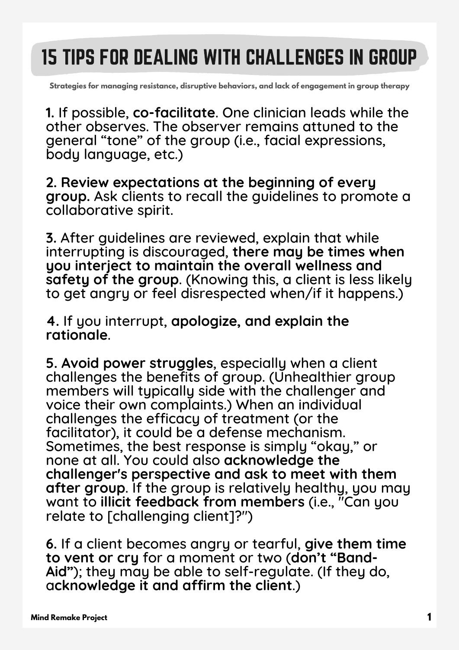## 15 TIPS FOR DEALING WITH CHALLENGES IN GROUP

**Strategies for managing resistance, disruptive behaviors, and lack of engagement in group therapy**

**1.** If possible, **co-facilitate**. One clinician leads while the other observes. The observer remains attuned to the general "tone" of the group (i.e., facial expressions, body language, etc.)

**2. Review expectations at the beginning of every group.** Ask clients to recall the guidelines to promote a collaborative spirit.

**3.** After guidelines are reviewed, explain that while interrupting is discouraged, **there may be times when you interject to maintain the overall wellness and safety of the group**. (Knowing this, a client is less likely to get angry or feel disrespected when/if it happens.)

**4.** If you interrupt, **apologize, and explain the rationale**.

**5. Avoid power struggles**, especially when a client challenges the benefits of group. (Unhealthier group members will typically side with the challenger and voice their own complaints.) When an individual challenges the efficacy of treatment (or the facilitator), it could be a defense mechanism. Sometimes, the best response is simply "okay," or none at all. You could also **acknowledge the challenger's perspective and ask to meet with them after group**. If the group is relatively healthy, you may want to **illicit feedback from members** (i.e., "Can you relate to [challenging client]?")

**6.** If a client becomes angry or tearful, **give them time to vent or cry** for a moment or two (**don't "Band-Aid"**); they may be able to self-regulate. (If they do, a**cknowledge it and affirm the client**.)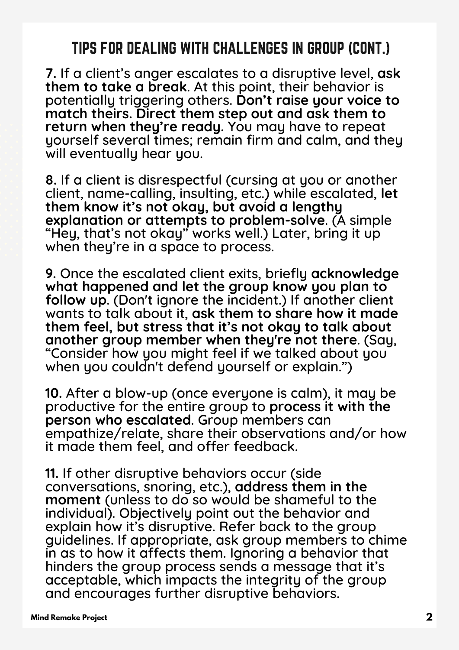## TIPS FOR DEALING WITH CHALLENGES IN GROUP (CONT.)

**7.** If a client's anger escalates to a disruptive level, **ask them to take a break**. At this point, their behavior is potentially triggering others. **Don't raise your voice to match theirs. Direct them step out and ask them to return when they're ready.** You may have to repeat yourself several times; remain firm and calm, and they will eventually hear you.

**8.** If a client is disrespectful (cursing at you or another client, name-calling, insulting, etc.) while escalated, **let them know it's not okay, but avoid a lengthy explanation or attempts to problem-solve**. (A simple "Hey, that's not okay" works well.) Later, bring it up when they're in a space to process.

**9.** Once the escalated client exits, briefly **acknowledge what happened and let the group know you plan to follow up**. (Don't ignore the incident.) If another client wants to talk about it, **ask them to share how it made them feel, but stress that it's not okay to talk about another group member when they're not there**. (Say, "Consider how you might feel if we talked about you when you couldn't defend yourself or explain.")

**10.** After a blow-up (once everyone is calm), it may be productive for the entire group to **process it with the person who escalated**. Group members can empathize/relate, share their observations and/or how it made them feel, and offer feedback.

**11.** If other disruptive behaviors occur (side conversations, snoring, etc.), **address them in the moment** (unless to do so would be shameful to the individual). Objectively point out the behavior and explain how it's disruptive. Refer back to the group guidelines. If appropriate, ask group members to chime in as to how it affects them. Ignoring a behavior that hinders the group process sends a message that it's acceptable, which impacts the integrity of the group and encourages further disruptive behaviors.